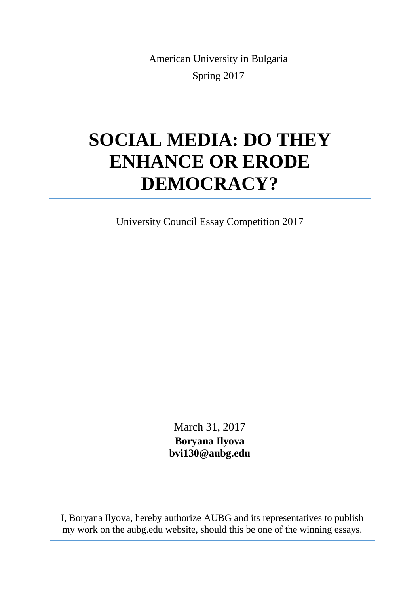American University in Bulgaria Spring 2017

## **SOCIAL MEDIA: DO THEY ENHANCE OR ERODE DEMOCRACY?**

University Council Essay Competition 2017

March 31, 2017 **Boryana Ilyova bvi130@aubg.edu**

I, Boryana Ilyova, hereby authorize AUBG and its representatives to publish my work on the aubg.edu website, should this be one of the winning essays.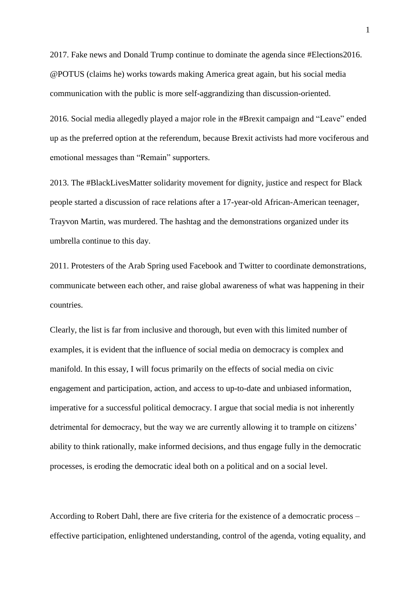2017. Fake news and Donald Trump continue to dominate the agenda since #Elections2016. @POTUS (claims he) works towards making America great again, but his social media communication with the public is more self-aggrandizing than discussion-oriented.

2016. Social media allegedly played a major role in the #Brexit campaign and "Leave" ended up as the preferred option at the referendum, because Brexit activists had more vociferous and emotional messages than "Remain" supporters.

2013. The #BlackLivesMatter solidarity movement for dignity, justice and respect for Black people started a discussion of race relations after a 17-year-old African-American teenager, Trayvon Martin, was murdered. The hashtag and the demonstrations organized under its umbrella continue to this day.

2011. Protesters of the Arab Spring used Facebook and Twitter to coordinate demonstrations, communicate between each other, and raise global awareness of what was happening in their countries.

Clearly, the list is far from inclusive and thorough, but even with this limited number of examples, it is evident that the influence of social media on democracy is complex and manifold. In this essay, I will focus primarily on the effects of social media on civic engagement and participation, action, and access to up-to-date and unbiased information, imperative for a successful political democracy. I argue that social media is not inherently detrimental for democracy, but the way we are currently allowing it to trample on citizens' ability to think rationally, make informed decisions, and thus engage fully in the democratic processes, is eroding the democratic ideal both on a political and on a social level.

According to Robert Dahl, there are five criteria for the existence of a democratic process – effective participation, enlightened understanding, control of the agenda, voting equality, and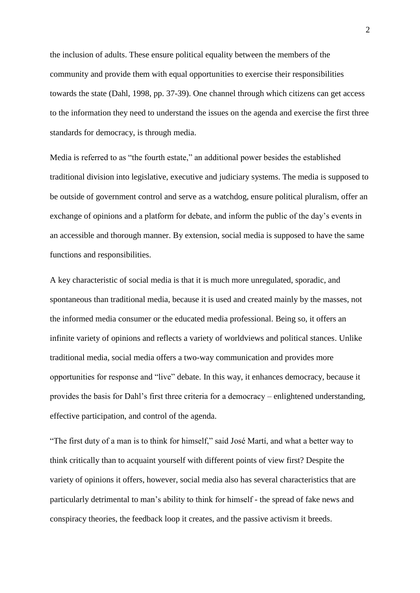the inclusion of adults. These ensure political equality between the members of the community and provide them with equal opportunities to exercise their responsibilities towards the state (Dahl, 1998, pp. 37-39). One channel through which citizens can get access to the information they need to understand the issues on the agenda and exercise the first three standards for democracy, is through media.

Media is referred to as "the fourth estate," an additional power besides the established traditional division into legislative, executive and judiciary systems. The media is supposed to be outside of government control and serve as a watchdog, ensure political pluralism, offer an exchange of opinions and a platform for debate, and inform the public of the day's events in an accessible and thorough manner. By extension, social media is supposed to have the same functions and responsibilities.

A key characteristic of social media is that it is much more unregulated, sporadic, and spontaneous than traditional media, because it is used and created mainly by the masses, not the informed media consumer or the educated media professional. Being so, it offers an infinite variety of opinions and reflects a variety of worldviews and political stances. Unlike traditional media, social media offers a two-way communication and provides more opportunities for response and "live" debate. In this way, it enhances democracy, because it provides the basis for Dahl's first three criteria for a democracy – enlightened understanding, effective participation, and control of the agenda.

"The first duty of a man is to think for himself," said José Martí, and what a better way to think critically than to acquaint yourself with different points of view first? Despite the variety of opinions it offers, however, social media also has several characteristics that are particularly detrimental to man's ability to think for himself - the spread of fake news and conspiracy theories, the feedback loop it creates, and the passive activism it breeds.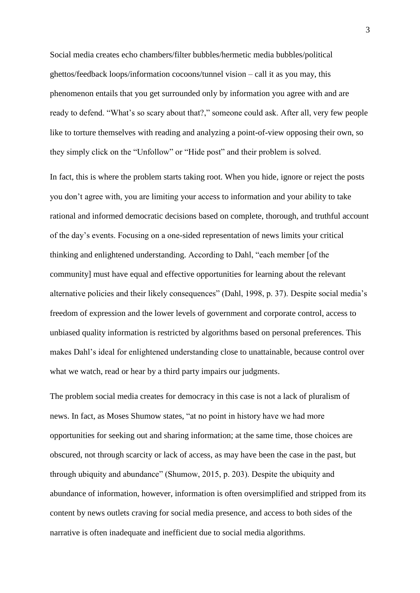Social media creates echo chambers/filter bubbles/hermetic media bubbles/political ghettos/feedback loops/information cocoons/tunnel vision – call it as you may, this phenomenon entails that you get surrounded only by information you agree with and are ready to defend. "What's so scary about that?," someone could ask. After all, very few people like to torture themselves with reading and analyzing a point-of-view opposing their own, so they simply click on the "Unfollow" or "Hide post" and their problem is solved.

In fact, this is where the problem starts taking root. When you hide, ignore or reject the posts you don't agree with, you are limiting your access to information and your ability to take rational and informed democratic decisions based on complete, thorough, and truthful account of the day's events. Focusing on a one-sided representation of news limits your critical thinking and enlightened understanding. According to Dahl, "each member [of the community] must have equal and effective opportunities for learning about the relevant alternative policies and their likely consequences" (Dahl, 1998, p. 37). Despite social media's freedom of expression and the lower levels of government and corporate control, access to unbiased quality information is restricted by algorithms based on personal preferences. This makes Dahl's ideal for enlightened understanding close to unattainable, because control over what we watch, read or hear by a third party impairs our judgments.

The problem social media creates for democracy in this case is not a lack of pluralism of news. In fact, as Moses Shumow states, "at no point in history have we had more opportunities for seeking out and sharing information; at the same time, those choices are obscured, not through scarcity or lack of access, as may have been the case in the past, but through ubiquity and abundance" (Shumow, 2015, p. 203). Despite the ubiquity and abundance of information, however, information is often oversimplified and stripped from its content by news outlets craving for social media presence, and access to both sides of the narrative is often inadequate and inefficient due to social media algorithms.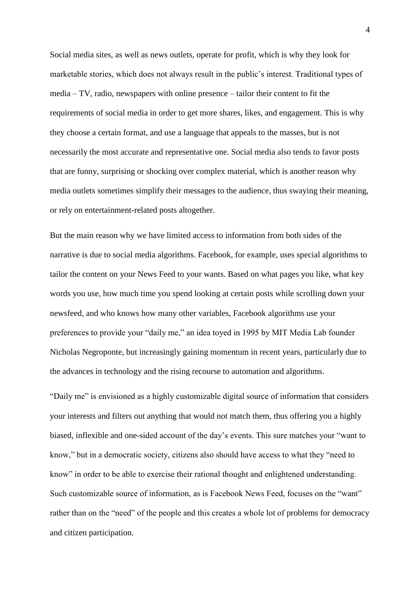Social media sites, as well as news outlets, operate for profit, which is why they look for marketable stories, which does not always result in the public's interest. Traditional types of media – TV, radio, newspapers with online presence – tailor their content to fit the requirements of social media in order to get more shares, likes, and engagement. This is why they choose a certain format, and use a language that appeals to the masses, but is not necessarily the most accurate and representative one. Social media also tends to favor posts that are funny, surprising or shocking over complex material, which is another reason why media outlets sometimes simplify their messages to the audience, thus swaying their meaning, or rely on entertainment-related posts altogether.

But the main reason why we have limited access to information from both sides of the narrative is due to social media algorithms. Facebook, for example, uses special algorithms to tailor the content on your News Feed to your wants. Based on what pages you like, what key words you use, how much time you spend looking at certain posts while scrolling down your newsfeed, and who knows how many other variables, Facebook algorithms use your preferences to provide your "daily me," an idea toyed in 1995 by MIT Media Lab founder Nicholas Negroponte, but increasingly gaining momentum in recent years, particularly due to the advances in technology and the rising recourse to automation and algorithms.

"Daily me" is envisioned as a highly customizable digital source of information that considers your interests and filters out anything that would not match them, thus offering you a highly biased, inflexible and one-sided account of the day's events. This sure matches your "want to know," but in a democratic society, citizens also should have access to what they "need to know" in order to be able to exercise their rational thought and enlightened understanding. Such customizable source of information, as is Facebook News Feed, focuses on the "want" rather than on the "need" of the people and this creates a whole lot of problems for democracy and citizen participation.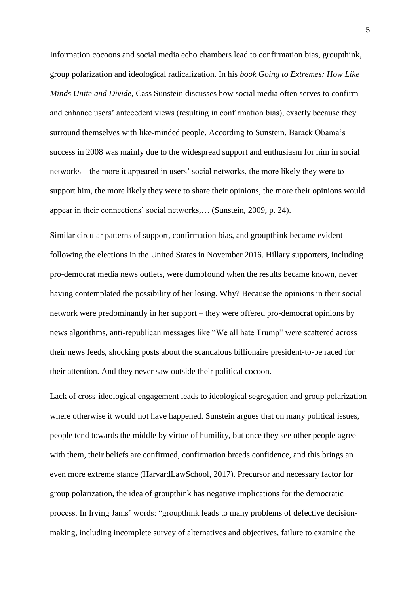Information cocoons and social media echo chambers lead to confirmation bias, groupthink, group polarization and ideological radicalization. In his *book Going to Extremes: How Like Minds Unite and Divide*, Cass Sunstein discusses how social media often serves to confirm and enhance users' antecedent views (resulting in confirmation bias), exactly because they surround themselves with like-minded people. According to Sunstein, Barack Obama's success in 2008 was mainly due to the widespread support and enthusiasm for him in social networks – the more it appeared in users' social networks, the more likely they were to support him, the more likely they were to share their opinions, the more their opinions would appear in their connections' social networks,… (Sunstein, 2009, p. 24).

Similar circular patterns of support, confirmation bias, and groupthink became evident following the elections in the United States in November 2016. Hillary supporters, including pro-democrat media news outlets, were dumbfound when the results became known, never having contemplated the possibility of her losing. Why? Because the opinions in their social network were predominantly in her support – they were offered pro-democrat opinions by news algorithms, anti-republican messages like "We all hate Trump" were scattered across their news feeds, shocking posts about the scandalous billionaire president-to-be raced for their attention. And they never saw outside their political cocoon.

Lack of cross-ideological engagement leads to ideological segregation and group polarization where otherwise it would not have happened. Sunstein argues that on many political issues, people tend towards the middle by virtue of humility, but once they see other people agree with them, their beliefs are confirmed, confirmation breeds confidence, and this brings an even more extreme stance (HarvardLawSchool, 2017). Precursor and necessary factor for group polarization, the idea of groupthink has negative implications for the democratic process. In Irving Janis' words: "groupthink leads to many problems of defective decisionmaking, including incomplete survey of alternatives and objectives, failure to examine the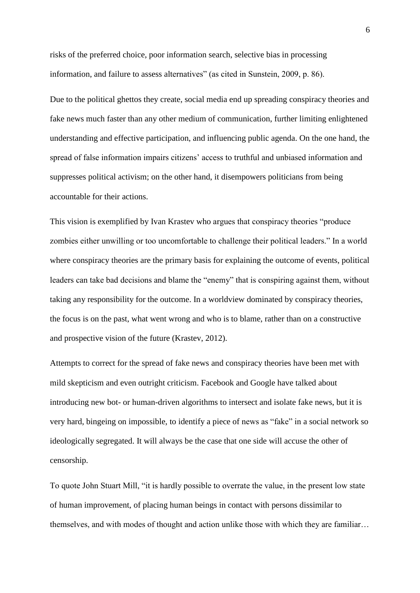risks of the preferred choice, poor information search, selective bias in processing information, and failure to assess alternatives" (as cited in Sunstein, 2009, p. 86).

Due to the political ghettos they create, social media end up spreading conspiracy theories and fake news much faster than any other medium of communication, further limiting enlightened understanding and effective participation, and influencing public agenda. On the one hand, the spread of false information impairs citizens' access to truthful and unbiased information and suppresses political activism; on the other hand, it disempowers politicians from being accountable for their actions.

This vision is exemplified by Ivan Krastev who argues that conspiracy theories "produce zombies either unwilling or too uncomfortable to challenge their political leaders." In a world where conspiracy theories are the primary basis for explaining the outcome of events, political leaders can take bad decisions and blame the "enemy" that is conspiring against them, without taking any responsibility for the outcome. In a worldview dominated by conspiracy theories, the focus is on the past, what went wrong and who is to blame, rather than on a constructive and prospective vision of the future (Krastev, 2012).

Attempts to correct for the spread of fake news and conspiracy theories have been met with mild skepticism and even outright criticism. Facebook and Google have talked about introducing new bot- or human-driven algorithms to intersect and isolate fake news, but it is very hard, bingeing on impossible, to identify a piece of news as "fake" in a social network so ideologically segregated. It will always be the case that one side will accuse the other of censorship.

To quote John Stuart Mill, "it is hardly possible to overrate the value, in the present low state of human improvement, of placing human beings in contact with persons dissimilar to themselves, and with modes of thought and action unlike those with which they are familiar…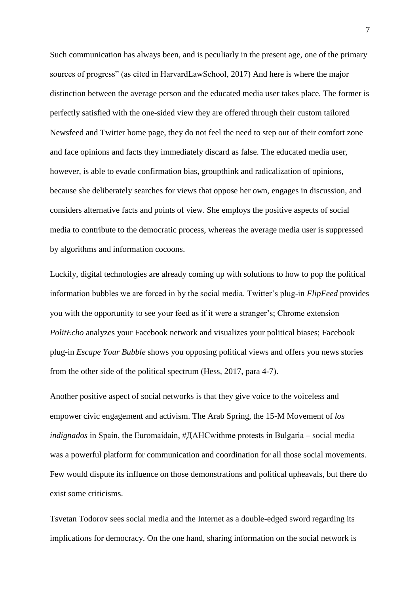Such communication has always been, and is peculiarly in the present age, one of the primary sources of progress" (as cited in HarvardLawSchool, 2017) And here is where the major distinction between the average person and the educated media user takes place. The former is perfectly satisfied with the one-sided view they are offered through their custom tailored Newsfeed and Twitter home page, they do not feel the need to step out of their comfort zone and face opinions and facts they immediately discard as false. The educated media user, however, is able to evade confirmation bias, groupthink and radicalization of opinions, because she deliberately searches for views that oppose her own, engages in discussion, and considers alternative facts and points of view. She employs the positive aspects of social media to contribute to the democratic process, whereas the average media user is suppressed by algorithms and information cocoons.

Luckily, digital technologies are already coming up with solutions to how to pop the political information bubbles we are forced in by the social media. Twitter's plug-in *FlipFeed* provides you with the opportunity to see your feed as if it were a stranger's; Chrome extension *PolitEcho* analyzes your Facebook network and visualizes your political biases; Facebook plug-in *Escape Your Bubble* shows you opposing political views and offers you news stories from the other side of the political spectrum (Hess, 2017, para 4-7).

Another positive aspect of social networks is that they give voice to the voiceless and empower civic engagement and activism. The Arab Spring, the 15-M Movement of *los indignados* in Spain, the Euromaidain, #ДАНСwithme protests in Bulgaria – social media was a powerful platform for communication and coordination for all those social movements. Few would dispute its influence on those demonstrations and political upheavals, but there do exist some criticisms.

Tsvetan Todorov sees social media and the Internet as a double-edged sword regarding its implications for democracy. On the one hand, sharing information on the social network is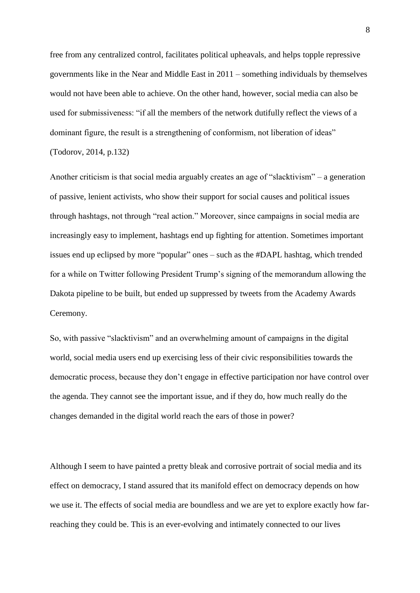free from any centralized control, facilitates political upheavals, and helps topple repressive governments like in the Near and Middle East in 2011 – something individuals by themselves would not have been able to achieve. On the other hand, however, social media can also be used for submissiveness: "if all the members of the network dutifully reflect the views of a dominant figure, the result is a strengthening of conformism, not liberation of ideas" (Todorov, 2014, p.132)

Another criticism is that social media arguably creates an age of "slacktivism" – a generation of passive, lenient activists, who show their support for social causes and political issues through hashtags, not through "real action." Moreover, since campaigns in social media are increasingly easy to implement, hashtags end up fighting for attention. Sometimes important issues end up eclipsed by more "popular" ones – such as the #DAPL hashtag, which trended for a while on Twitter following President Trump's signing of the memorandum allowing the Dakota pipeline to be built, but ended up suppressed by tweets from the Academy Awards Ceremony.

So, with passive "slacktivism" and an overwhelming amount of campaigns in the digital world, social media users end up exercising less of their civic responsibilities towards the democratic process, because they don't engage in effective participation nor have control over the agenda. They cannot see the important issue, and if they do, how much really do the changes demanded in the digital world reach the ears of those in power?

Although I seem to have painted a pretty bleak and corrosive portrait of social media and its effect on democracy, I stand assured that its manifold effect on democracy depends on how we use it. The effects of social media are boundless and we are yet to explore exactly how farreaching they could be. This is an ever-evolving and intimately connected to our lives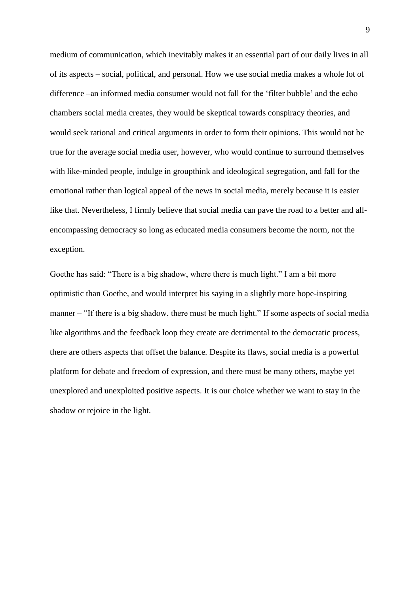medium of communication, which inevitably makes it an essential part of our daily lives in all of its aspects – social, political, and personal. How we use social media makes a whole lot of difference –an informed media consumer would not fall for the 'filter bubble' and the echo chambers social media creates, they would be skeptical towards conspiracy theories, and would seek rational and critical arguments in order to form their opinions. This would not be true for the average social media user, however, who would continue to surround themselves with like-minded people, indulge in groupthink and ideological segregation, and fall for the emotional rather than logical appeal of the news in social media, merely because it is easier like that. Nevertheless, I firmly believe that social media can pave the road to a better and allencompassing democracy so long as educated media consumers become the norm, not the exception.

Goethe has said: "There is a big shadow, where there is much light." I am a bit more optimistic than Goethe, and would interpret his saying in a slightly more hope-inspiring manner – "If there is a big shadow, there must be much light." If some aspects of social media like algorithms and the feedback loop they create are detrimental to the democratic process, there are others aspects that offset the balance. Despite its flaws, social media is a powerful platform for debate and freedom of expression, and there must be many others, maybe yet unexplored and unexploited positive aspects. It is our choice whether we want to stay in the shadow or rejoice in the light.